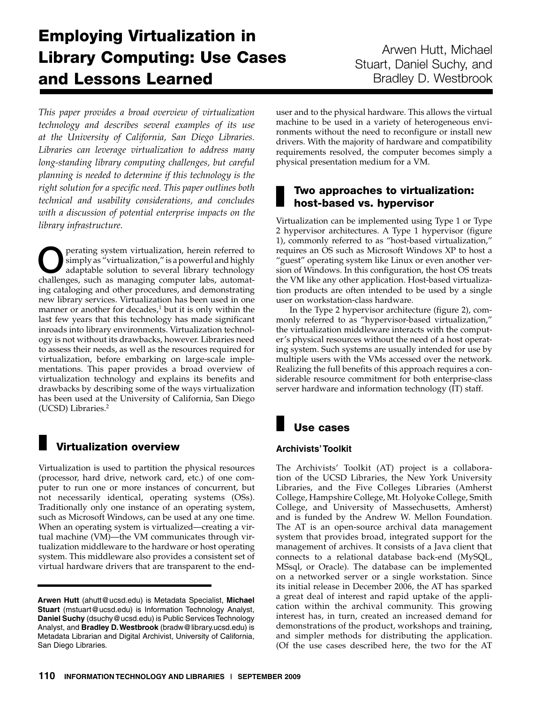# Employing Virtualization in Library Computing: Use Cases and Lessons Learned

Arwen Hutt, Michael Stuart, Daniel Suchy, and Bradley D. Westbrook

*This paper provides a broad overview of virtualization technology and describes several examples of its use at the University of California, San Diego Libraries. Libraries can leverage virtualization to address many long-standing library computing challenges, but careful planning is needed to determine if this technology is the right solution for a specific need. This paper outlines both technical and usability considerations, and concludes with a discussion of potential enterprise impacts on the library infrastructure.*

**Operating system virtualization, herein referred to**<br>simply as "virtualization," is a powerful and highly<br>adaptable solution to several library technology<br>challenges auch solution in the library technology simply as "virtualization," is a powerful and highly adaptable solution to several library technology challenges, such as managing computer labs, automating cataloging and other procedures, and demonstrating new library services. Virtualization has been used in one manner or another for decades,<sup>1</sup> but it is only within the last few years that this technology has made significant inroads into library environments. Virtualization technology is not without its drawbacks, however. Libraries need to assess their needs, as well as the resources required for virtualization, before embarking on large-scale implementations. This paper provides a broad overview of virtualization technology and explains its benefits and drawbacks by describing some of the ways virtualization has been used at the University of California, San Diego (UCSD) Libraries.2

## **Virtualization overview**

Virtualization is used to partition the physical resources (processor, hard drive, network card, etc.) of one computer to run one or more instances of concurrent, but not necessarily identical, operating systems (OSs). Traditionally only one instance of an operating system, such as Microsoft Windows, can be used at any one time. When an operating system is virtualized—creating a virtual machine (VM)—the VM communicates through virtualization middleware to the hardware or host operating system. This middleware also provides a consistent set of virtual hardware drivers that are transparent to the end-

user and to the physical hardware. This allows the virtual machine to be used in a variety of heterogeneous environments without the need to reconfigure or install new drivers. With the majority of hardware and compatibility requirements resolved, the computer becomes simply a physical presentation medium for a VM.

### Two approaches to virtualization: host-based vs. hypervisor

Virtualization can be implemented using Type 1 or Type 2 hypervisor architectures. A Type 1 hypervisor (figure 1), commonly referred to as "host-based virtualization," requires an OS such as Microsoft Windows XP to host a "guest" operating system like Linux or even another version of Windows. In this configuration, the host OS treats the VM like any other application. Host-based virtualization products are often intended to be used by a single user on workstation-class hardware.

In the Type 2 hypervisor architecture (figure 2), commonly referred to as "hypervisor-based virtualization," the virtualization middleware interacts with the computer's physical resources without the need of a host operating system. Such systems are usually intended for use by multiple users with the VMs accessed over the network. Realizing the full benefits of this approach requires a considerable resource commitment for both enterprise-class server hardware and information technology (IT) staff.

# Use cases

#### **Archivists' Toolkit**

The Archivists' Toolkit (AT) project is a collaboration of the UCSD Libraries, the New York University Libraries, and the Five Colleges Libraries (Amherst College, Hampshire College, Mt. Holyoke College, Smith College, and University of Massechusetts, Amherst) and is funded by the Andrew W. Mellon Foundation. The AT is an open-source archival data management system that provides broad, integrated support for the management of archives. It consists of a Java client that connects to a relational database back-end (MySQL, MSsql, or Oracle). The database can be implemented on a networked server or a single workstation. Since its initial release in December 2006, the AT has sparked a great deal of interest and rapid uptake of the application within the archival community. This growing interest has, in turn, created an increased demand for demonstrations of the product, workshops and training, and simpler methods for distributing the application. (Of the use cases described here, the two for the AT

**Arwen Hutt** (ahutt@ucsd.edu) is Metadata Specialist, **Michael Stuart** (mstuart@ucsd.edu) is Information Technology Analyst, **Daniel Suchy** (dsuchy@ucsd.edu) is Public Services Technology Analyst, and **Bradley D. Westbrook** (bradw@library.ucsd.edu) is Metadata Librarian and Digital Archivist, University of California, San Diego Libraries.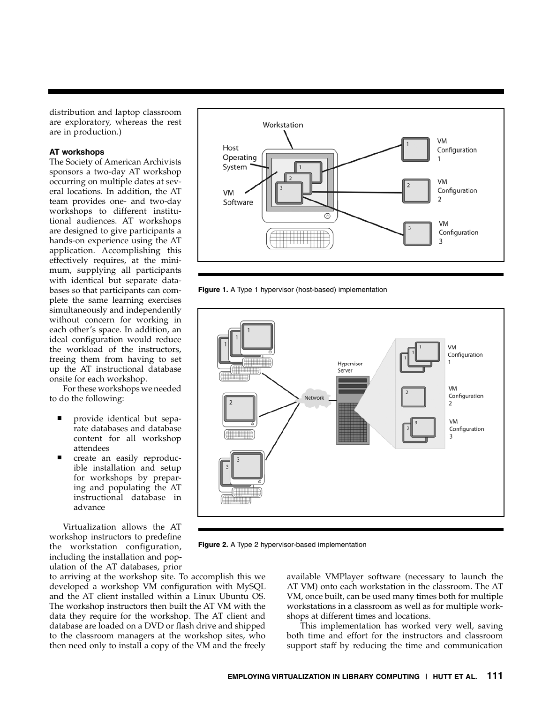distribution and laptop classroom are exploratory, whereas the rest are in production.)

#### **AT workshops**

The Society of American Archivists sponsors a two-day AT workshop occurring on multiple dates at several locations. In addition, the AT team provides one- and two-day workshops to different institutional audiences. AT workshops are designed to give participants a hands-on experience using the AT application. Accomplishing this effectively requires, at the minimum, supplying all participants with identical but separate databases so that participants can complete the same learning exercises simultaneously and independently without concern for working in each other's space. In addition, an ideal configuration would reduce the workload of the instructors, freeing them from having to set up the AT instructional database onsite for each workshop.

For these workshops we needed to do the following:

- provide identical but separate databases and database content for all workshop attendees
- create an easily reproducible installation and setup for workshops by preparing and populating the AT instructional database in advance

Virtualization allows the AT workshop instructors to predefine the workstation configuration, including the installation and population of the AT databases, prior

to arriving at the workshop site. To accomplish this we developed a workshop VM configuration with MySQL and the AT client installed within a Linux Ubuntu OS. The workshop instructors then built the AT VM with the data they require for the workshop. The AT client and database are loaded on a DVD or flash drive and shipped to the classroom managers at the workshop sites, who then need only to install a copy of the VM and the freely







**Figure 2.** A Type 2 hypervisor-based implementation

available VMPlayer software (necessary to launch the AT VM) onto each workstation in the classroom. The AT VM, once built, can be used many times both for multiple workstations in a classroom as well as for multiple workshops at different times and locations.

This implementation has worked very well, saving both time and effort for the instructors and classroom support staff by reducing the time and communication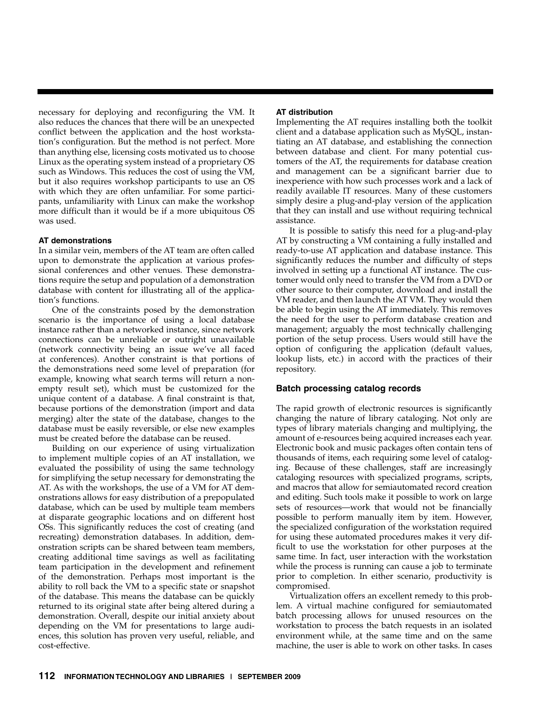necessary for deploying and reconfiguring the VM. It also reduces the chances that there will be an unexpected conflict between the application and the host workstation's configuration. But the method is not perfect. More than anything else, licensing costs motivated us to choose Linux as the operating system instead of a proprietary OS such as Windows. This reduces the cost of using the VM, but it also requires workshop participants to use an OS with which they are often unfamiliar. For some participants, unfamiliarity with Linux can make the workshop more difficult than it would be if a more ubiquitous OS was used.

#### **AT demonstrations**

In a similar vein, members of the AT team are often called upon to demonstrate the application at various professional conferences and other venues. These demonstrations require the setup and population of a demonstration database with content for illustrating all of the application's functions.

One of the constraints posed by the demonstration scenario is the importance of using a local database instance rather than a networked instance, since network connections can be unreliable or outright unavailable (network connectivity being an issue we've all faced at conferences). Another constraint is that portions of the demonstrations need some level of preparation (for example, knowing what search terms will return a nonempty result set), which must be customized for the unique content of a database. A final constraint is that, because portions of the demonstration (import and data merging) alter the state of the database, changes to the database must be easily reversible, or else new examples must be created before the database can be reused.

Building on our experience of using virtualization to implement multiple copies of an AT installation, we evaluated the possibility of using the same technology for simplifying the setup necessary for demonstrating the AT. As with the workshops, the use of a VM for AT demonstrations allows for easy distribution of a prepopulated database, which can be used by multiple team members at disparate geographic locations and on different host OSs. This significantly reduces the cost of creating (and recreating) demonstration databases. In addition, demonstration scripts can be shared between team members, creating additional time savings as well as facilitating team participation in the development and refinement of the demonstration. Perhaps most important is the ability to roll back the VM to a specific state or snapshot of the database. This means the database can be quickly returned to its original state after being altered during a demonstration. Overall, despite our initial anxiety about depending on the VM for presentations to large audiences, this solution has proven very useful, reliable, and cost-effective.

#### **AT distribution**

Implementing the AT requires installing both the toolkit client and a database application such as MySQL, instantiating an AT database, and establishing the connection between database and client. For many potential customers of the AT, the requirements for database creation and management can be a significant barrier due to inexperience with how such processes work and a lack of readily available IT resources. Many of these customers simply desire a plug-and-play version of the application that they can install and use without requiring technical assistance.

It is possible to satisfy this need for a plug-and-play AT by constructing a VM containing a fully installed and ready-to-use AT application and database instance. This significantly reduces the number and difficulty of steps involved in setting up a functional AT instance. The customer would only need to transfer the VM from a DVD or other source to their computer, download and install the VM reader, and then launch the AT VM. They would then be able to begin using the AT immediately. This removes the need for the user to perform database creation and management; arguably the most technically challenging portion of the setup process. Users would still have the option of configuring the application (default values, lookup lists, etc.) in accord with the practices of their repository.

#### **Batch processing catalog records**

The rapid growth of electronic resources is significantly changing the nature of library cataloging. Not only are types of library materials changing and multiplying, the amount of e-resources being acquired increases each year. Electronic book and music packages often contain tens of thousands of items, each requiring some level of cataloging. Because of these challenges, staff are increasingly cataloging resources with specialized programs, scripts, and macros that allow for semiautomated record creation and editing. Such tools make it possible to work on large sets of resources—work that would not be financially possible to perform manually item by item. However, the specialized configuration of the workstation required for using these automated procedures makes it very difficult to use the workstation for other purposes at the same time. In fact, user interaction with the workstation while the process is running can cause a job to terminate prior to completion. In either scenario, productivity is compromised.

Virtualization offers an excellent remedy to this problem. A virtual machine configured for semiautomated batch processing allows for unused resources on the workstation to process the batch requests in an isolated environment while, at the same time and on the same machine, the user is able to work on other tasks. In cases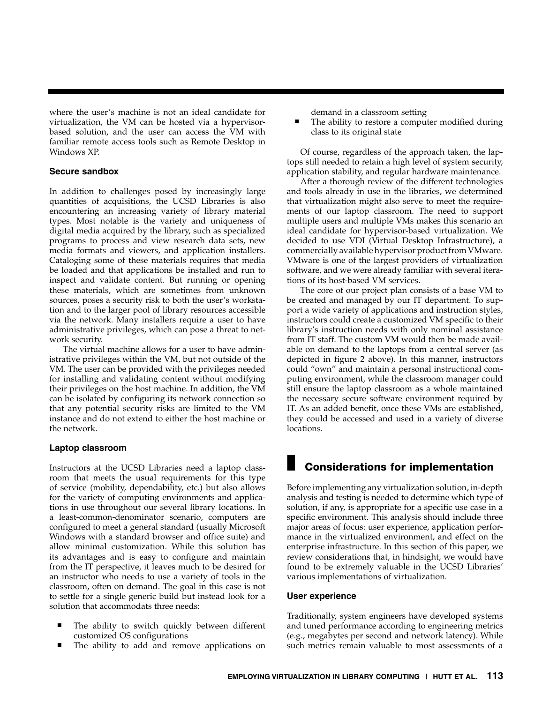where the user's machine is not an ideal candidate for virtualization, the VM can be hosted via a hypervisorbased solution, and the user can access the VM with familiar remote access tools such as Remote Desktop in Windows XP.

#### **Secure sandbox**

In addition to challenges posed by increasingly large quantities of acquisitions, the UCSD Libraries is also encountering an increasing variety of library material types. Most notable is the variety and uniqueness of digital media acquired by the library, such as specialized programs to process and view research data sets, new media formats and viewers, and application installers. Cataloging some of these materials requires that media be loaded and that applications be installed and run to inspect and validate content. But running or opening these materials, which are sometimes from unknown sources, poses a security risk to both the user's workstation and to the larger pool of library resources accessible via the network. Many installers require a user to have administrative privileges, which can pose a threat to network security.

The virtual machine allows for a user to have administrative privileges within the VM, but not outside of the VM. The user can be provided with the privileges needed for installing and validating content without modifying their privileges on the host machine. In addition, the VM can be isolated by configuring its network connection so that any potential security risks are limited to the VM instance and do not extend to either the host machine or the network.

#### **Laptop classroom**

Instructors at the UCSD Libraries need a laptop classroom that meets the usual requirements for this type of service (mobility, dependability, etc.) but also allows for the variety of computing environments and applications in use throughout our several library locations. In a least-common-denominator scenario, computers are configured to meet a general standard (usually Microsoft Windows with a standard browser and office suite) and allow minimal customization. While this solution has its advantages and is easy to configure and maintain from the IT perspective, it leaves much to be desired for an instructor who needs to use a variety of tools in the classroom, often on demand. The goal in this case is not to settle for a single generic build but instead look for a solution that accommodats three needs:

- The ability to switch quickly between different customized OS configurations
- The ability to add and remove applications on

demand in a classroom setting

The ability to restore a computer modified during class to its original state

Of course, regardless of the approach taken, the laptops still needed to retain a high level of system security, application stability, and regular hardware maintenance.

After a thorough review of the different technologies and tools already in use in the libraries, we determined that virtualization might also serve to meet the requirements of our laptop classroom. The need to support multiple users and multiple VMs makes this scenario an ideal candidate for hypervisor-based virtualization. We decided to use VDI (Virtual Desktop Infrastructure), a commercially available hypervisor product from VMware. VMware is one of the largest providers of virtualization software, and we were already familiar with several iterations of its host-based VM services.

The core of our project plan consists of a base VM to be created and managed by our IT department. To support a wide variety of applications and instruction styles, instructors could create a customized VM specific to their library's instruction needs with only nominal assistance from IT staff. The custom VM would then be made available on demand to the laptops from a central server (as depicted in figure 2 above). In this manner, instructors could "own" and maintain a personal instructional computing environment, while the classroom manager could still ensure the laptop classroom as a whole maintained the necessary secure software environment required by IT. As an added benefit, once these VMs are established, they could be accessed and used in a variety of diverse locations.

### **Considerations for implementation**

Before implementing any virtualization solution, in-depth analysis and testing is needed to determine which type of solution, if any, is appropriate for a specific use case in a specific environment. This analysis should include three major areas of focus: user experience, application performance in the virtualized environment, and effect on the enterprise infrastructure. In this section of this paper, we review considerations that, in hindsight, we would have found to be extremely valuable in the UCSD Libraries' various implementations of virtualization.

#### **User experience**

Traditionally, system engineers have developed systems and tuned performance according to engineering metrics (e.g., megabytes per second and network latency). While such metrics remain valuable to most assessments of a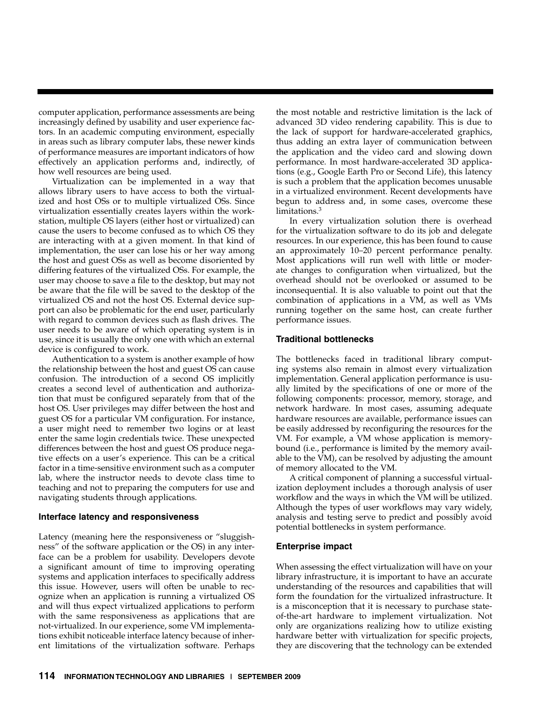computer application, performance assessments are being increasingly defined by usability and user experience factors. In an academic computing environment, especially in areas such as library computer labs, these newer kinds of performance measures are important indicators of how effectively an application performs and, indirectly, of how well resources are being used.

Virtualization can be implemented in a way that allows library users to have access to both the virtualized and host OSs or to multiple virtualized OSs. Since virtualization essentially creates layers within the workstation, multiple OS layers (either host or virtualized) can cause the users to become confused as to which OS they are interacting with at a given moment. In that kind of implementation, the user can lose his or her way among the host and guest OSs as well as become disoriented by differing features of the virtualized OSs. For example, the user may choose to save a file to the desktop, but may not be aware that the file will be saved to the desktop of the virtualized OS and not the host OS. External device support can also be problematic for the end user, particularly with regard to common devices such as flash drives. The user needs to be aware of which operating system is in use, since it is usually the only one with which an external device is configured to work.

Authentication to a system is another example of how the relationship between the host and guest OS can cause confusion. The introduction of a second OS implicitly creates a second level of authentication and authorization that must be configured separately from that of the host OS. User privileges may differ between the host and guest OS for a particular VM configuration. For instance, a user might need to remember two logins or at least enter the same login credentials twice. These unexpected differences between the host and guest OS produce negative effects on a user's experience. This can be a critical factor in a time-sensitive environment such as a computer lab, where the instructor needs to devote class time to teaching and not to preparing the computers for use and navigating students through applications.

#### **Interface latency and responsiveness**

Latency (meaning here the responsiveness or "sluggishness" of the software application or the OS) in any interface can be a problem for usability. Developers devote a significant amount of time to improving operating systems and application interfaces to specifically address this issue. However, users will often be unable to recognize when an application is running a virtualized OS and will thus expect virtualized applications to perform with the same responsiveness as applications that are not-virtualized. In our experience, some VM implementations exhibit noticeable interface latency because of inherent limitations of the virtualization software. Perhaps

the most notable and restrictive limitation is the lack of advanced 3D video rendering capability. This is due to the lack of support for hardware-accelerated graphics, thus adding an extra layer of communication between the application and the video card and slowing down performance. In most hardware-accelerated 3D applications (e.g., Google Earth Pro or Second Life), this latency is such a problem that the application becomes unusable in a virtualized environment. Recent developments have begun to address and, in some cases, overcome these limitations.<sup>3</sup>

In every virtualization solution there is overhead for the virtualization software to do its job and delegate resources. In our experience, this has been found to cause an approximately 10–20 percent performance penalty. Most applications will run well with little or moderate changes to configuration when virtualized, but the overhead should not be overlooked or assumed to be inconsequential. It is also valuable to point out that the combination of applications in a VM, as well as VMs running together on the same host, can create further performance issues.

#### **Traditional bottlenecks**

The bottlenecks faced in traditional library computing systems also remain in almost every virtualization implementation. General application performance is usually limited by the specifications of one or more of the following components: processor, memory, storage, and network hardware. In most cases, assuming adequate hardware resources are available, performance issues can be easily addressed by reconfiguring the resources for the VM. For example, a VM whose application is memorybound (i.e., performance is limited by the memory available to the VM), can be resolved by adjusting the amount of memory allocated to the VM.

A critical component of planning a successful virtualization deployment includes a thorough analysis of user workflow and the ways in which the VM will be utilized. Although the types of user workflows may vary widely, analysis and testing serve to predict and possibly avoid potential bottlenecks in system performance.

#### **Enterprise impact**

When assessing the effect virtualization will have on your library infrastructure, it is important to have an accurate understanding of the resources and capabilities that will form the foundation for the virtualized infrastructure. It is a misconception that it is necessary to purchase stateof-the-art hardware to implement virtualization. Not only are organizations realizing how to utilize existing hardware better with virtualization for specific projects, they are discovering that the technology can be extended